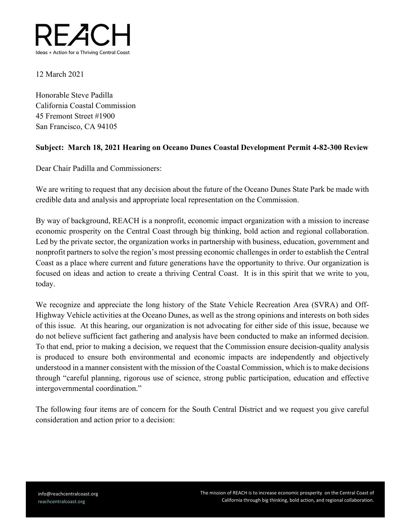

## 12 March 2021

Honorable Steve Padilla California Coastal Commission 45 Fremont Street #1900 San Francisco, CA 94105

## **Subject: March 18, 2021 Hearing on Oceano Dunes Coastal Development Permit 4-82-300 Review**

Dear Chair Padilla and Commissioners:

We are writing to request that any decision about the future of the Oceano Dunes State Park be made with credible data and analysis and appropriate local representation on the Commission.

By way of background, REACH is a nonprofit, economic impact organization with a mission to increase economic prosperity on the Central Coast through big thinking, bold action and regional collaboration. Led by the private sector, the organization works in partnership with business, education, government and nonprofit partners to solve the region's most pressing economic challenges in order to establish the Central Coast as a place where current and future generations have the opportunity to thrive. Our organization is focused on ideas and action to create a thriving Central Coast. It is in this spirit that we write to you, today.

We recognize and appreciate the long history of the State Vehicle Recreation Area (SVRA) and Off-Highway Vehicle activities at the Oceano Dunes, as well as the strong opinions and interests on both sides of this issue. At this hearing, our organization is not advocating for either side of this issue, because we do not believe sufficient fact gathering and analysis have been conducted to make an informed decision. To that end, prior to making a decision, we request that the Commission ensure decision-quality analysis is produced to ensure both environmental and economic impacts are independently and objectively understood in a manner consistent with the mission of the Coastal Commission, which is to make decisions through "careful planning, rigorous use of science, strong public participation, education and effective intergovernmental coordination."

The following four items are of concern for the South Central District and we request you give careful consideration and action prior to a decision: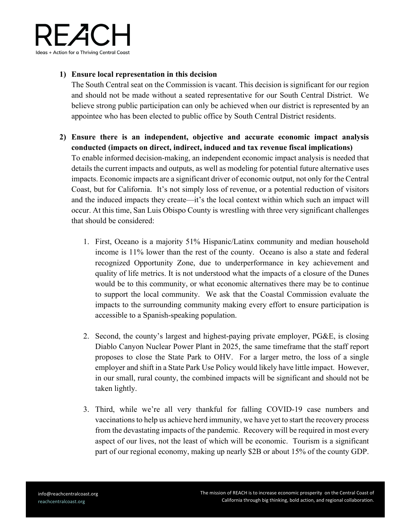

## **1) Ensure local representation in this decision**

The South Central seat on the Commission is vacant. This decision is significant for our region and should not be made without a seated representative for our South Central District. We believe strong public participation can only be achieved when our district is represented by an appointee who has been elected to public office by South Central District residents.

- **2) Ensure there is an independent, objective and accurate economic impact analysis conducted (impacts on direct, indirect, induced and tax revenue fiscal implications)**  To enable informed decision-making, an independent economic impact analysis is needed that details the current impacts and outputs, as well as modeling for potential future alternative uses impacts. Economic impacts are a significant driver of economic output, not only for the Central Coast, but for California. It's not simply loss of revenue, or a potential reduction of visitors and the induced impacts they create—it's the local context within which such an impact will occur. At this time, San Luis Obispo County is wrestling with three very significant challenges that should be considered:
	- 1. First, Oceano is a majority 51% Hispanic/Latinx community and median household income is 11% lower than the rest of the county. Oceano is also a state and federal recognized Opportunity Zone, due to underperformance in key achievement and quality of life metrics. It is not understood what the impacts of a closure of the Dunes would be to this community, or what economic alternatives there may be to continue to support the local community. We ask that the Coastal Commission evaluate the impacts to the surrounding community making every effort to ensure participation is accessible to a Spanish-speaking population.
	- 2. Second, the county's largest and highest-paying private employer, PG&E, is closing Diablo Canyon Nuclear Power Plant in 2025, the same timeframe that the staff report proposes to close the State Park to OHV. For a larger metro, the loss of a single employer and shift in a State Park Use Policy would likely have little impact. However, in our small, rural county, the combined impacts will be significant and should not be taken lightly.
	- 3. Third, while we're all very thankful for falling COVID-19 case numbers and vaccinations to help us achieve herd immunity, we have yet to start the recovery process from the devastating impacts of the pandemic. Recovery will be required in most every aspect of our lives, not the least of which will be economic. Tourism is a significant part of our regional economy, making up nearly \$2B or about 15% of the county GDP.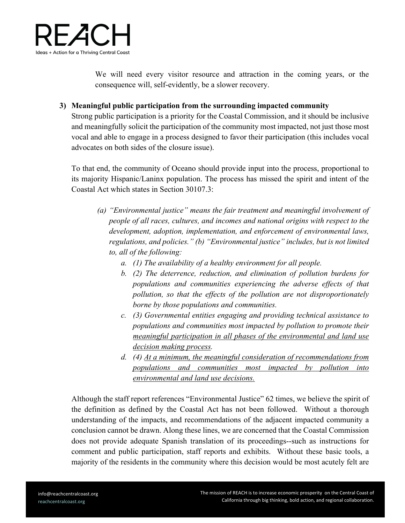

We will need every visitor resource and attraction in the coming years, or the consequence will, self-evidently, be a slower recovery.

**3) Meaningful public participation from the surrounding impacted community**

Strong public participation is a priority for the Coastal Commission, and it should be inclusive and meaningfully solicit the participation of the community most impacted, not just those most vocal and able to engage in a process designed to favor their participation (this includes vocal advocates on both sides of the closure issue).

To that end, the community of Oceano should provide input into the process, proportional to its majority Hispanic/Laninx population. The process has missed the spirit and intent of the Coastal Act which states in Section 30107.3:

- *(a) "Environmental justice" means the fair treatment and meaningful involvement of people of all races, cultures, and incomes and national origins with respect to the development, adoption, implementation, and enforcement of environmental laws, regulations, and policies." (b) "Environmental justice" includes, but is not limited to, all of the following:*
	- *a. (1) The availability of a healthy environment for all people.*
	- *b. (2) The deterrence, reduction, and elimination of pollution burdens for populations and communities experiencing the adverse effects of that pollution, so that the effects of the pollution are not disproportionately borne by those populations and communities.*
	- *c. (3) Governmental entities engaging and providing technical assistance to populations and communities most impacted by pollution to promote their meaningful participation in all phases of the environmental and land use decision making process.*
	- *d. (4) At a minimum, the meaningful consideration of recommendations from populations and communities most impacted by pollution into environmental and land use decisions.*

Although the staff report references "Environmental Justice" 62 times, we believe the spirit of the definition as defined by the Coastal Act has not been followed. Without a thorough understanding of the impacts, and recommendations of the adjacent impacted community a conclusion cannot be drawn. Along these lines, we are concerned that the Coastal Commission does not provide adequate Spanish translation of its proceedings--such as instructions for comment and public participation, staff reports and exhibits. Without these basic tools, a majority of the residents in the community where this decision would be most acutely felt are